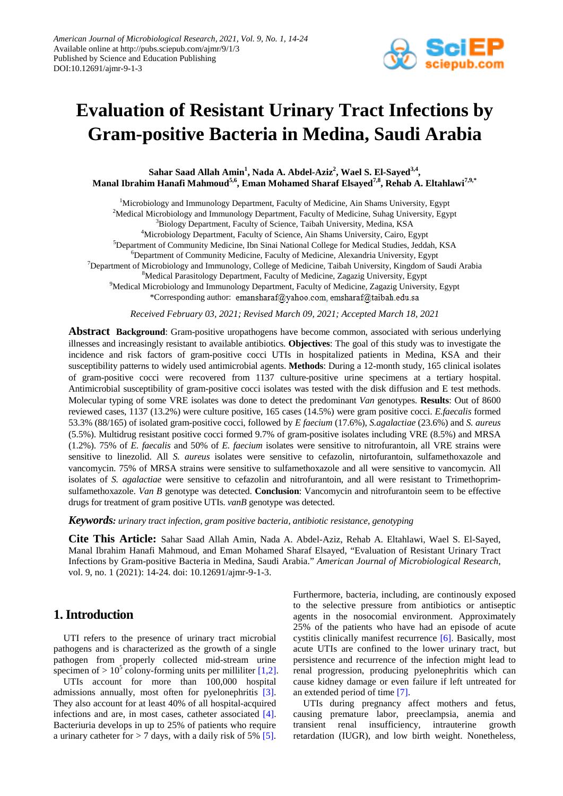

# **Evaluation of Resistant Urinary Tract Infections by Gram-positive Bacteria in Medina, Saudi Arabia**

Sahar Saad Allah Amin<sup>1</sup>, Nada A. Abdel-Aziz<sup>2</sup>, Wael S. El-Sayed<sup>3,4</sup>, **Manal Ibrahim Hanafi Mahmoud5,6 , Eman Mohamed Sharaf Elsayed7,8, Rehab A. Eltahlawi7,9,\***

<sup>1</sup>Microbiology and Immunology Department, Faculty of Medicine, Ain Shams University, Egypt <sup>2</sup>Medical Microbiology and Immunology Department, Faculty of Medicine, Suhag University, Egypt <sup>3</sup>Biology Department, Faculty of Science, Taibah University, Medina, KSA <sup>4</sup>Microbiology Department, Faculty of Science, Ain Shams University, Cairo, Egypt 5 Department of Community Medicine, Ibn Sinai National College for Medical Studies, Jeddah, KSA 6 Department of Community Medicine, Faculty of Medicine, Alexandria University, Egypt <sup>7</sup>Department of Microbiology and Immunology, College of Medicine, Taibah University, Kingdom of Saudi Arabia <sup>8</sup>Medical Parasitology Department, Faculty of Medicine, Zagazig University, Egypt <sup>9</sup>Medical Microbiology and Immunology Department, Faculty of Medicine, Zagazig University, Egypt \*Corresponding author: emansharaf@yahoo.com.emsharaf@taibah.edu.sa

*Received February 03, 2021; Revised March 09, 2021; Accepted March 18, 2021*

**Abstract Background**: Gram-positive uropathogens have become common, associated with serious underlying illnesses and increasingly resistant to available antibiotics. **Objectives**: The goal of this study was to investigate the incidence and risk factors of gram-positive cocci UTIs in hospitalized patients in Medina, KSA and their susceptibility patterns to widely used antimicrobial agents. **Methods**: During a 12-month study, 165 clinical isolates of gram-positive cocci were recovered from 1137 culture-positive urine specimens at a tertiary hospital. Antimicrobial susceptibility of gram-positive cocci isolates was tested with the disk diffusion and E test methods. Molecular typing of some VRE isolates was done to detect the predominant *Van* genotypes. **Results**: Out of 8600 reviewed cases, 1137 (13.2%) were culture positive, 165 cases (14.5%) were gram positive cocci. *E.faecalis* formed 53.3% (88/165) of isolated gram-positive cocci, followed by *E faecium* (17.6%), *S.agalactiae* (23.6%) and *S. aureus* (5.5%). Multidrug resistant positive cocci formed 9.7% of gram-positive isolates including VRE (8.5%) and MRSA (1.2%). 75% of *E. faecalis* and 50% of *E. faecium* isolates were sensitive to nitrofurantoin, all VRE strains were sensitive to linezolid. All *S. aureus* isolates were sensitive to cefazolin, nirtofurantoin, sulfamethoxazole and vancomycin. 75% of MRSA strains were sensitive to sulfamethoxazole and all were sensitive to vancomycin. All isolates of *S. agalactiae* were sensitive to cefazolin and nitrofurantoin, and all were resistant to Trimethoprimsulfamethoxazole. *Van B* genotype was detected. **Conclusion**: Vancomycin and nitrofurantoin seem to be effective drugs for treatment of gram positive UTIs. *vanB* genotype was detected.

*Keywords: urinary tract infection, gram positive bacteria, antibiotic resistance, genotyping*

**Cite This Article:** Sahar Saad Allah Amin, Nada A. Abdel-Aziz, Rehab A. Eltahlawi, Wael S. El-Sayed, Manal Ibrahim Hanafi Mahmoud, and Eman Mohamed Sharaf Elsayed, "Evaluation of Resistant Urinary Tract Infections by Gram-positive Bacteria in Medina, Saudi Arabia." *American Journal of Microbiological Research*, vol. 9, no. 1 (2021): 14-24. doi: 10.12691/ajmr-9-1-3.

### **1. Introduction**

UTI refers to the presence of urinary tract microbial pathogens and is characterized as the growth of a single pathogen from properly collected mid-stream urine specimen of  $> 10<sup>5</sup>$  colony-forming units per milliliter [\[1,2\].](#page-8-0)

UTIs account for more than 100,000 hospital admissions annually, most often for pyelonephritis [\[3\].](#page-8-1) They also account for at least 40% of all hospital-acquired infections and are, in most cases, catheter associated [\[4\].](#page-8-2) Bacteriuria develops in up to 25% of patients who require a urinary catheter for  $> 7$  days, with a daily risk of 5% [\[5\].](#page-8-3) Furthermore, bacteria, including, are continously exposed to the selective pressure from antibiotics or antiseptic agents in the nosocomial environment. Approximately 25% of the patients who have had an episode of acute cystitis clinically manifest recurrence [\[6\].](#page-8-4) Basically, most acute UTIs are confined to the lower urinary tract, but persistence and recurrence of the infection might lead to renal progression, producing pyelonephritis which can cause kidney damage or even failure if left untreated for an extended period of time [\[7\].](#page-8-5)

UTIs during pregnancy affect mothers and fetus, causing premature labor, preeclampsia, anemia and transient renal insufficiency, intrauterine growth retardation (IUGR), and low birth weight. Nonetheless,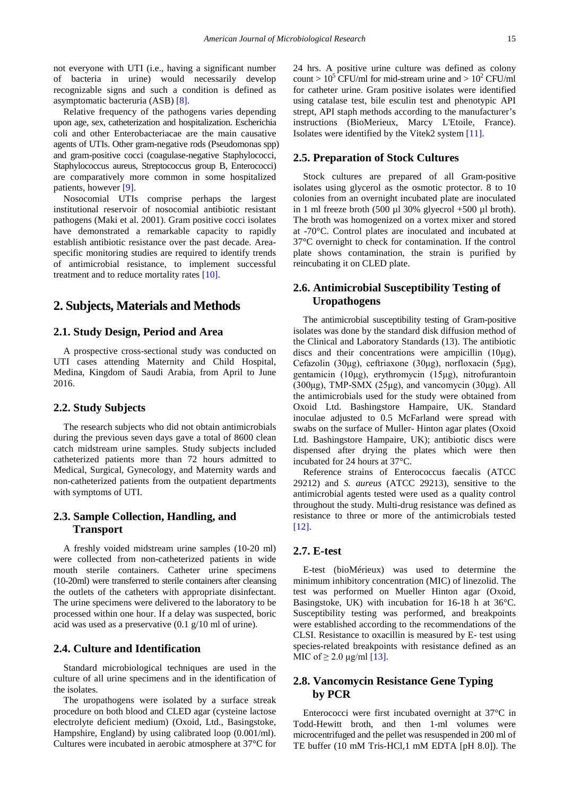not everyone with UTI (i.e., having a significant number of bacteria in urine) would necessarily develop recognizable signs and such a condition is defined as asymptomatic bacteruria (ASB) [\[8\].](#page-8-6)

Relative frequency of the pathogens varies depending upon age, sex, catheterization and hospitalization. Escherichia coli and other Enterobacteriacae are the main causative agents of UTIs. Other gram-negative rods (Pseudomonas spp) and gram-positive cocci (coagulase-negative Staphylococci, Staphylococcus aureus, Streptococcus group B, Enterococci) are comparatively more common in some hospitalized patients, howeve[r \[9\].](#page-8-7) 

Nosocomial UTIs comprise perhaps the largest institutional reservoir of nosocomial antibiotic resistant pathogens (Maki et al. 2001). Gram positive cocci isolates have demonstrated a remarkable capacity to rapidly establish antibiotic resistance over the past decade. Areaspecific monitoring studies are required to identify trends of antimicrobial resistance, to implement successful treatment and to reduce mortality rates [\[10\].](#page-8-8)

## **2. Subjects, Materials and Methods**

#### **2.1. Study Design, Period and Area**

A prospective cross-sectional study was conducted on UTI cases attending Maternity and Child Hospital, Medina, Kingdom of Saudi Arabia, from April to June 2016.

#### **2.2. Study Subjects**

The research subjects who did not obtain antimicrobials during the previous seven days gave a total of 8600 clean catch midstream urine samples. Study subjects included catheterized patients more than 72 hours admitted to Medical, Surgical, Gynecology, and Maternity wards and non-catheterized patients from the outpatient departments with symptoms of UTI.

#### **2.3. Sample Collection, Handling, and Transport**

A freshly voided midstream urine samples (10-20 ml) were collected from non-catheterized patients in wide mouth sterile containers. Catheter urine specimens (10-20ml) were transferred to sterile containers after cleansing the outlets of the catheters with appropriate disinfectant. The urine specimens were delivered to the laboratory to be processed within one hour. If a delay was suspected, boric acid was used as a preservative (0.1 g/10 ml of urine).

#### **2.4. Culture and Identification**

Standard microbiological techniques are used in the culture of all urine specimens and in the identification of the isolates.

The uropathogens were isolated by a surface streak procedure on both blood and CLED agar (cysteine lactose electrolyte deficient medium) (Oxoid, Ltd., Basingstoke, Hampshire, England) by using calibrated loop (0.001/ml). Cultures were incubated in aerobic atmosphere at 37°C for 24 hrs. A positive urine culture was defined as colony count >  $10^5$  CFU/ml for mid-stream urine and >  $10^2$  CFU/ml for catheter urine. Gram positive isolates were identified using catalase test, bile esculin test and phenotypic API strept, API staph methods according to the manufacturer's instructions (BioMerieux, Marcy L'Etoile, France). Isolates were identified by the Vitek2 system [\[11\].](#page-8-9)

#### **2.5. Preparation of Stock Cultures**

Stock cultures are prepared of all Gram-positive isolates using glycerol as the osmotic protector. 8 to 10 colonies from an overnight incubated plate are inoculated in 1 ml freeze broth  $(500 \mu 130\% \text{ glyecrol} + 500 \mu 1 \text{ broth}).$ The broth was homogenized on a vortex mixer and stored at -70°C. Control plates are inoculated and incubated at 37°C overnight to check for contamination. If the control plate shows contamination, the strain is purified by reincubating it on CLED plate.

#### **2.6. Antimicrobial Susceptibility Testing of Uropathogens**

The antimicrobial susceptibility testing of Gram-positive isolates was done by the standard disk diffusion method of the Clinical and Laboratory Standards (13). The antibiotic discs and their concentrations were ampicillin (10μg), Cefazolin (30μg), ceftriaxone (30μg), norfloxacin (5μg), gentamicin (10μg), erythromycin (15μg), nitrofurantoin (300 $\mu$ g), TMP-SMX (25 $\mu$ g), and vancomycin (30 $\mu$ g). All the antimicrobials used for the study were obtained from Oxoid Ltd. Bashingstore Hampaire, UK. Standard inoculae adjusted to 0.5 McFarland were spread with swabs on the surface of Muller- Hinton agar plates (Oxoid Ltd. Bashingstore Hampaire, UK); antibiotic discs were dispensed after drying the plates which were then incubated for 24 hours at 37°C.

Reference strains of Enterococcus faecalis (ATCC 29212) and *S. aureus* (ATCC 29213), sensitive to the antimicrobial agents tested were used as a quality control throughout the study. Multi-drug resistance was defined as resistance to three or more of the antimicrobials tested [\[12\].](#page-8-10)

#### **2.7. E-test**

E-test (bioMérieux) was used to determine the minimum inhibitory concentration (MIC) of linezolid. The test was performed on Mueller Hinton agar (Oxoid, Basingstoke, UK) with incubation for 16-18 h at 36°C. Susceptibility testing was performed, and breakpoints were established according to the recommendations of the CLSI. Resistance to oxacillin is measured by E- test using species-related breakpoints with resistance defined as an MIC of  $\geq 2.0$  μg/ml [\[13\].](#page-8-11)

#### **2.8. Vancomycin Resistance Gene Typing by PCR**

Enterococci were first incubated overnight at 37°C in Todd-Hewitt broth, and then 1-ml volumes were microcentrifuged and the pellet was resuspended in 200 ml of TE buffer (10 mM Tris-HCl,1 mM EDTA [pH 8.0]). The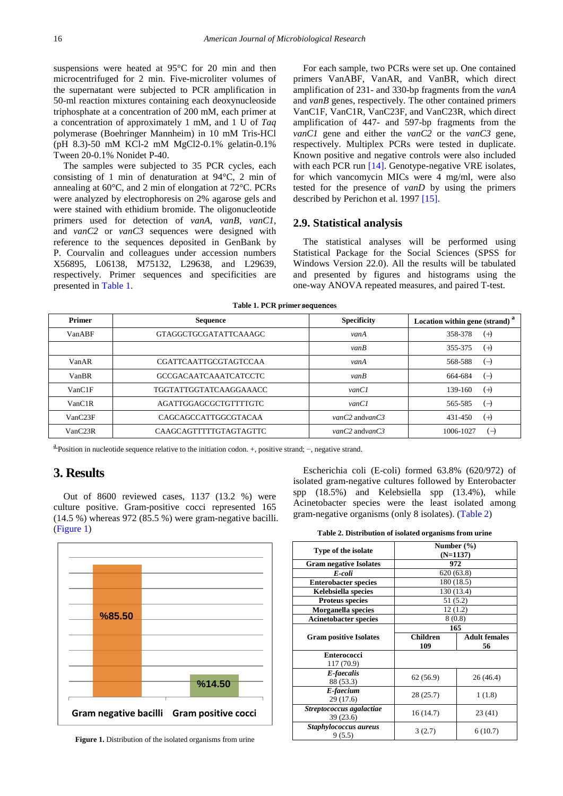suspensions were heated at 95°C for 20 min and then microcentrifuged for 2 min. Five-microliter volumes of the supernatant were subjected to PCR amplification in 50-ml reaction mixtures containing each deoxynucleoside triphosphate at a concentration of 200 mM, each primer at a concentration of approximately 1 mM, and 1 U of *Taq*  polymerase (Boehringer Mannheim) in 10 mM Tris-HCl (pH 8.3)-50 mM KCl-2 mM MgCl2-0.1% gelatin-0.1% Tween 20-0.1% Nonidet P-40.

The samples were subjected to 35 PCR cycles, each consisting of 1 min of denaturation at 94°C, 2 min of annealing at 60°C, and 2 min of elongation at 72°C. PCRs were analyzed by electrophoresis on 2% agarose gels and were stained with ethidium bromide. The oligonucleotide primers used for detection of *vanA*, *vanB*, *vanC1*, and *vanC2* or *vanC3* sequences were designed with reference to the sequences deposited in GenBank by P. Courvalin and colleagues under accession numbers X56895, L06138, M75132, L29638, and L29639, respectively. Primer sequences and specificities are presented in [Table 1.](#page-2-0)

For each sample, two PCRs were set up. One contained primers VanABF, VanAR, and VanBR, which direct amplification of 231- and 330-bp fragments from the *vanA*  and *vanB* genes, respectively. The other contained primers VanC1F, VanC1R, VanC23F, and VanC23R, which direct amplification of 447- and 597-bp fragments from the *vanC1* gene and either the *vanC2* or the *vanC3* gene, respectively. Multiplex PCRs were tested in duplicate. Known positive and negative controls were also included with each PCR run [\[14\].](#page-8-12) Genotype-negative VRE isolates, for which vancomycin MICs were 4 mg/ml, were also tested for the presence of *vanD* by using the primers described by Perichon et al. 1997 [\[15\].](#page-8-13)

#### **2.9. Statistical analysis**

The statistical analyses will be performed using Statistical Package for the Social Sciences (SPSS for Windows Version 22.0). All the results will be tabulated and presented by figures and histograms using the one-way ANOVA repeated measures, and paired T-test.

| Table 1. PCR primer sequences |  |
|-------------------------------|--|
|-------------------------------|--|

<span id="page-2-0"></span>

| <b>Primer</b>        | <b>Sequence</b>               | <b>Specificity</b><br>Location within gene (strand) |                                         |
|----------------------|-------------------------------|-----------------------------------------------------|-----------------------------------------|
| VanABF               | GTAGGCTGCGATATTCAAAGC         | vanA                                                | 358-378<br>$^{(+)}$                     |
|                      |                               | vanB                                                | 355-375<br>$^{(+)}$                     |
| VanAR                | CGATTCAATTGCGTAGTCCAA         | vanA                                                | 568-588<br>$(\rightarrow)$              |
| VanBR                | <b>GCCGACAATCAAATCATCCTC</b>  | vanB                                                | 664-684<br>$(\rightarrow)$              |
| VanCIF               | <b>TGGTATTGGTATCAAGGAAACC</b> | vanCl                                               | 139-160<br>$^{(+)}$                     |
| VanC1R               | AGATTGGAGCGCTGTTTTGTC         | vanCl                                               | 565-585<br>$\left( \rightarrow \right)$ |
| VanC23F              | CAGCAGCCATTGGCGTACAA          | $vanC2$ and $vanC3$                                 | 431-450<br>$(+)$                        |
| VanC <sub>23</sub> R | CAAGCAGTTTTTGTAGTAGTTC        | $vanC2$ and $vanC3$                                 | 1006-1027<br>$(-)$                      |

<sup>a</sup> Position in nucleotide sequence relative to the initiation codon. +, positive strand; −, negative strand.

## **3. Results**

Out of 8600 reviewed cases, 1137 (13.2 %) were culture positive. Gram-positive cocci represented 165  $(14.5\%)$  whereas 972 (85.5 %) were gram-negative bacilli. [\(Figure 1\)](#page-2-1)

<span id="page-2-1"></span>

Figure 1. Distribution of the isolated organisms from urine

Escherichia coli (E-coli) formed 63.8% (620/972) of isolated gram-negative cultures followed by Enterobacter spp (18.5%) and Kelebsiella spp (13.4%), while Acinetobacter species were the least isolated among gram-negative organisms (only 8 isolates). [\(Table 2\)](#page-2-2)

| Table 2. Distribution of isolated organisms from urine |  |  |
|--------------------------------------------------------|--|--|
|                                                        |  |  |

<span id="page-2-2"></span>

| Type of the isolate                   | Number $(\% )$<br>$(N=1137)$ |                            |  |
|---------------------------------------|------------------------------|----------------------------|--|
| <b>Gram negative Isolates</b>         | 972                          |                            |  |
| E-coli                                | 620(63.8)                    |                            |  |
| <b>Enterobacter species</b>           |                              | 180 (18.5)                 |  |
| Kelebsiella species                   | 130 (13.4)                   |                            |  |
| <b>Proteus species</b>                | 51(5.2)                      |                            |  |
| Morganella species                    | 12(1.2)                      |                            |  |
| <b>Acinetobacter species</b>          | 8(0.8)                       |                            |  |
|                                       | 165                          |                            |  |
| <b>Gram positive Isolates</b>         | Children<br>109              | <b>Adult females</b><br>56 |  |
| <b>Enterococci</b><br>117 (70.9)      |                              |                            |  |
| E-faecalis<br>88 (53.3)               | 62 (56.9)                    | 26 (46.4)                  |  |
| E-faecium<br>29 (17.6)                | 28(25.7)                     | 1(1.8)                     |  |
| Streptococcus agalactiae<br>39 (23.6) | 16 (14.7)                    | 23(41)                     |  |
| Staphylococcus aureus<br>9(5.5)       | 3(2.7)                       | 6(10.7)                    |  |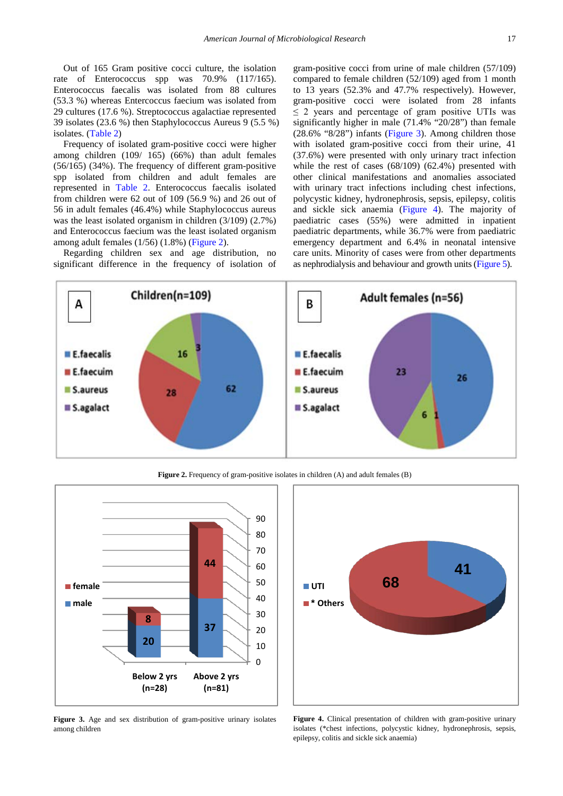Out of 165 Gram positive cocci culture, the isolation rate of Enterococcus spp was 70.9% (117/165). Enterococcus faecalis was isolated from 88 cultures (53.3 %) whereas Entercoccus faecium was isolated from 29 cultures (17.6 %). Streptococcus agalactiae represented 39 isolates (23.6 %) then Staphylococcus Aureus 9 (5.5 %) isolates. [\(Table 2\)](#page-2-2)

Frequency of isolated gram-positive cocci were higher among children (109/ 165) (66%) than adult females (56/165) (34%). The frequency of different gram-positive spp isolated from children and adult females are represented in [Table 2.](#page-2-2) Enterococcus faecalis isolated from children were 62 out of 109 (56.9 %) and 26 out of 56 in adult females (46.4%) while Staphylococcus aureus was the least isolated organism in children (3/109) (2.7%) and Enterococcus faecium was the least isolated organism among adult females (1/56) (1.8%) [\(Figure 2\)](#page-3-0).

Regarding children sex and age distribution, no significant difference in the frequency of isolation of gram-positive cocci from urine of male children (57/109) compared to female children (52/109) aged from 1 month to 13 years (52.3% and 47.7% respectively). However, gram-positive cocci were isolated from 28 infants  $\leq$  2 years and percentage of gram positive UTIs was significantly higher in male (71.4% "20/28") than female (28.6% "8/28") infants [\(Figure 3\)](#page-3-1). Among children those with isolated gram-positive cocci from their urine, 41 (37.6%) were presented with only urinary tract infection while the rest of cases (68/109) (62.4%) presented with other clinical manifestations and anomalies associated with urinary tract infections including chest infections, polycystic kidney, hydronephrosis, sepsis, epilepsy, colitis and sickle sick anaemia [\(Figure 4\)](#page-3-2). The majority of paediatric cases (55%) were admitted in inpatient paediatric departments, while 36.7% were from paediatric emergency department and 6.4% in neonatal intensive care units. Minority of cases were from other departments as nephrodialysis and behaviour and growth units [\(Figure 5\)](#page-4-0).

<span id="page-3-0"></span>

**Figure 2.** Frequency of gram-positive isolates in children (A) and adult females (B)

<span id="page-3-1"></span>

**Figure 3.** Age and sex distribution of gram-positive urinary isolates among children

<span id="page-3-2"></span>

Figure 4. Clinical presentation of children with gram-positive urinary isolates (\*chest infections, polycystic kidney, hydronephrosis, sepsis, epilepsy, colitis and sickle sick anaemia)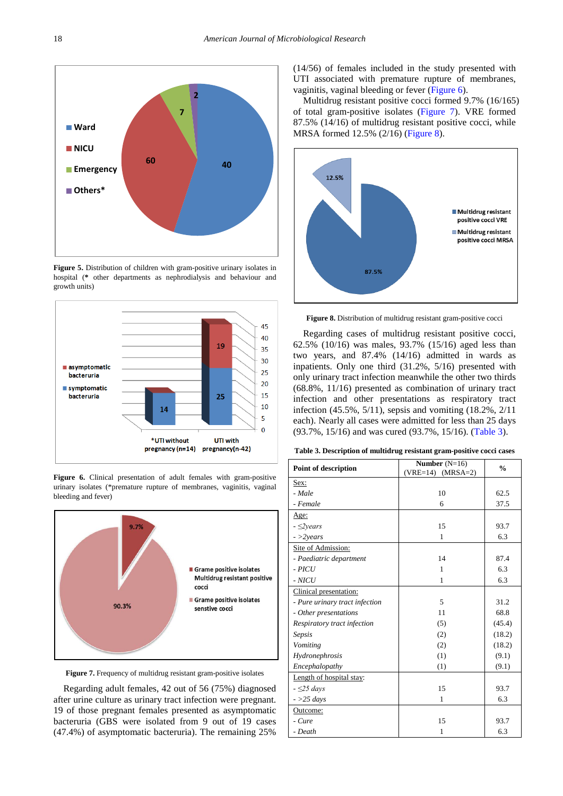<span id="page-4-0"></span>

**Figure 5.** Distribution of children with gram-positive urinary isolates in hospital (**\*** other departments as nephrodialysis and behaviour and growth units)

<span id="page-4-1"></span>

Figure 6. Clinical presentation of adult females with gram-positive urinary isolates (\*premature rupture of membranes, vaginitis, vaginal bleeding and fever)

<span id="page-4-2"></span>

**Figure 7.** Frequency of multidrug resistant gram-positive isolates

Regarding adult females, 42 out of 56 (75%) diagnosed after urine culture as urinary tract infection were pregnant. 19 of those pregnant females presented as asymptomatic bacteruria (GBS were isolated from 9 out of 19 cases (47.4%) of asymptomatic bacteruria). The remaining 25%

(14/56) of females included in the study presented with UTI associated with premature rupture of membranes, vaginitis, vaginal bleeding or fever [\(Figure 6\)](#page-4-1).

Multidrug resistant positive cocci formed 9.7% (16/165) of total gram-positive isolates [\(Figure 7\)](#page-4-2). VRE formed 87.5% (14/16) of multidrug resistant positive cocci, while MRSA formed 12.5% (2/16) [\(Figure 8\)](#page-4-3).

<span id="page-4-3"></span>

Figure 8. Distribution of multidrug resistant gram-positive cocci

Regarding cases of multidrug resistant positive cocci, 62.5% (10/16) was males, 93.7% (15/16) aged less than two years, and 87.4% (14/16) admitted in wards as inpatients. Only one third (31.2%, 5/16) presented with only urinary tract infection meanwhile the other two thirds (68.8%, 11/16) presented as combination of urinary tract infection and other presentations as respiratory tract infection (45.5%, 5/11), sepsis and vomiting (18.2%, 2/11 each). Nearly all cases were admitted for less than 25 days (93.7%, 15/16) and was cured (93.7%, 15/16). [\(Table 3\)](#page-4-4).

| Table 3. Description of multidrug resistant gram-positive cocci cases |  |  |  |  |  |  |
|-----------------------------------------------------------------------|--|--|--|--|--|--|
|-----------------------------------------------------------------------|--|--|--|--|--|--|

<span id="page-4-4"></span>

| <b>Point of description</b>    | Number $(N=16)$<br>$(VRE=14)$<br>$(MRSA=2)$ | $\frac{0}{0}$ |
|--------------------------------|---------------------------------------------|---------------|
| Sex:                           |                                             |               |
| - Male                         | 10                                          | 62.5          |
| - Female                       | 6                                           | 37.5          |
| Age:                           |                                             |               |
| $ \leq$ 2 years                | 15                                          | 93.7          |
| $\frac{-}{2}$ years            | 1                                           | 6.3           |
| Site of Admission:             |                                             |               |
| - Paediatric department        | 14                                          | 87.4          |
| $ PICU$                        | 1                                           | 6.3           |
| $-NICU$                        | 1                                           | 6.3           |
| Clinical presentation:         |                                             |               |
| - Pure urinary tract infection | 5                                           | 31.2          |
| - Other presentations          | 11                                          | 68.8          |
| Respiratory tract infection    | (5)                                         | (45.4)        |
| Sepsis                         | (2)                                         | (18.2)        |
| Vomiting                       | (2)                                         | (18.2)        |
| Hydronephrosis                 | (1)                                         | (9.1)         |
| Encephalopathy                 | (1)                                         | (9.1)         |
| Length of hospital stay:       |                                             |               |
| $-525$ days                    | 15                                          | 93.7          |
| $-$ >25 days                   | $\mathbf{1}$                                | 6.3           |
| Outcome:                       |                                             |               |
| - Cure                         | 15                                          | 93.7          |
| - Death                        | 1                                           | 6.3           |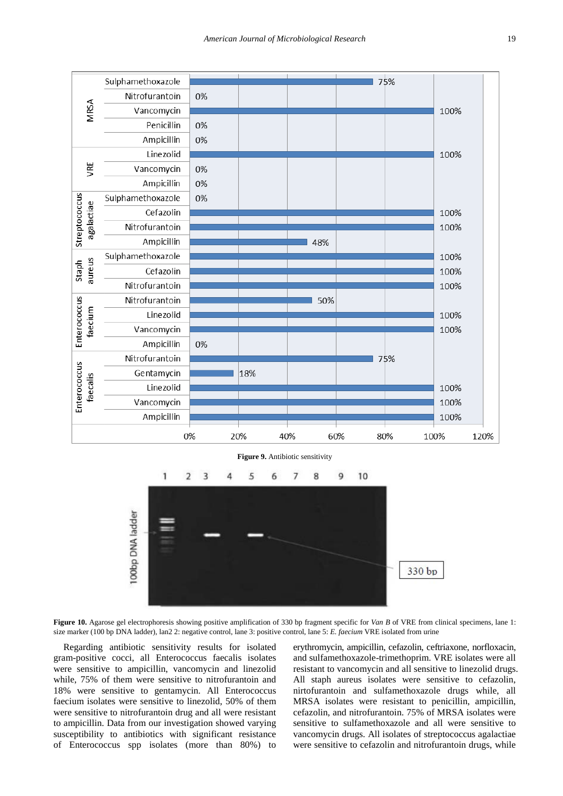<span id="page-5-0"></span>





Figure 10. Agarose gel electrophoresis showing positive amplification of 330 bp fragment specific for *Van B* of VRE from clinical specimens, lane 1: size marker (100 bp DNA ladder), lan2 2: negative control, lane 3: positive control, lane 5: *E. faecium* VRE isolated from urine

Regarding antibiotic sensitivity results for isolated gram-positive cocci, all Enterococcus faecalis isolates were sensitive to ampicillin, vancomycin and linezolid while, 75% of them were sensitive to nitrofurantoin and 18% were sensitive to gentamycin. All Enterococcus faecium isolates were sensitive to linezolid, 50% of them were sensitive to nitrofurantoin drug and all were resistant to ampicillin. Data from our investigation showed varying susceptibility to antibiotics with significant resistance of Enterococcus spp isolates (more than 80%) to erythromycin, ampicillin, cefazolin, ceftriaxone, norfloxacin, and sulfamethoxazole-trimethoprim. VRE isolates were all resistant to vancomycin and all sensitive to linezolid drugs. All staph aureus isolates were sensitive to cefazolin, nirtofurantoin and sulfamethoxazole drugs while, all MRSA isolates were resistant to penicillin, ampicillin, cefazolin, and nitrofurantoin. 75% of MRSA isolates were sensitive to sulfamethoxazole and all were sensitive to vancomycin drugs. All isolates of streptococcus agalactiae were sensitive to cefazolin and nitrofurantoin drugs, while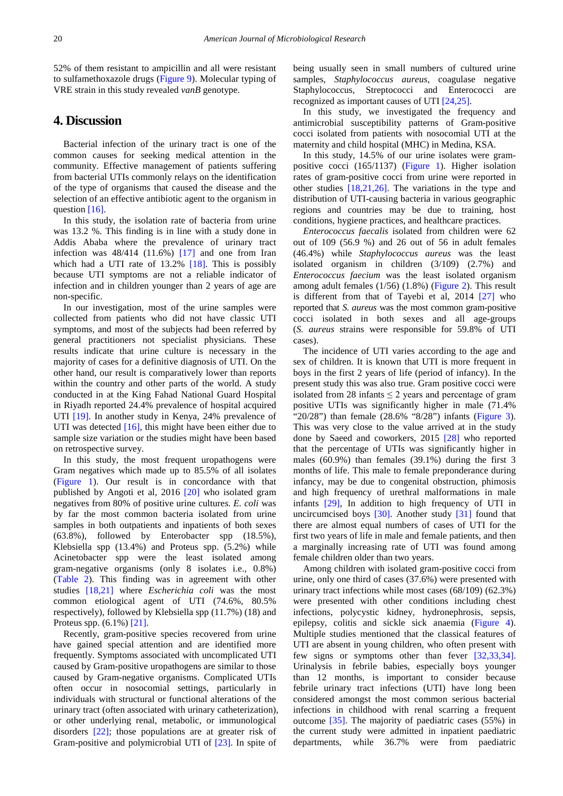52% of them resistant to ampicillin and all were resistant to sulfamethoxazole drugs [\(Figure 9\)](#page-5-0). Molecular typing of VRE strain in this study revealed *vanB* genotype.

## **4. Discussion**

Bacterial infection of the urinary tract is one of the common causes for seeking medical attention in the community. Effective management of patients suffering from bacterial UTIs commonly relays on the identification of the type of organisms that caused the disease and the selection of an effective antibiotic agent to the organism in question [\[16\].](#page-8-14)

In this study, the isolation rate of bacteria from urine was 13.2 %. This finding is in line with a study done in Addis Ababa where the prevalence of urinary tract infection was  $48/414$  (11.6%) [\[17\]](#page-8-15) and one from Iran which had a UTI rate of 13.2% [\[18\].](#page-9-0) This is possibly because UTI symptoms are not a reliable indicator of infection and in children younger than 2 years of age are non-specific.

In our investigation, most of the urine samples were collected from patients who did not have classic UTI symptoms, and most of the subjects had been referred by general practitioners not specialist physicians. These results indicate that urine culture is necessary in the majority of cases for a definitive diagnosis of UTI. On the other hand, our result is comparatively lower than reports within the country and other parts of the world. A study conducted in at the King Fahad National Guard Hospital in Riyadh reported 24.4% prevalence of hospital acquired UTI [\[19\].](#page-9-1) In another study in Kenya, 24% prevalence of UTI was detected [\[16\],](#page-8-14) this might have been either due to sample size variation or the studies might have been based on retrospective survey.

In this study, the most frequent uropathogens were Gram negatives which made up to 85.5% of all isolates [\(Figure 1\)](#page-2-1). Our result is in concordance with that published by Angoti et al, 2016 [\[20\]](#page-9-2) who isolated gram negatives from 80% of positive urine culture*s. E. coli* was by far the most common bacteria isolated from urine samples in both outpatients and inpatients of both sexes (63.8%), followed by Enterobacter spp (18.5%), Klebsiella spp (13.4%) and Proteus spp. (5.2%) while Acinetobacter spp were the least isolated among gram-negative organisms (only 8 isolates i.e., 0.8%) [\(Table 2\)](#page-2-2). This finding was in agreement with other studies [\[18,21\]](#page-9-0) where *Escherichia coli* was the most common etiological agent of UTI (74.6%, 80.5% respectively), followed by Klebsiella spp (11.7%) (18) and Proteus spp. (6.1%) [\[21\].](#page-9-3)

Recently, gram-positive species recovered from urine have gained special attention and are identified more frequently. Symptoms associated with uncomplicated UTI caused by Gram-positive uropathogens are similar to those caused by Gram-negative organisms. Complicated UTIs often occur in nosocomial settings, particularly in individuals with structural or functional alterations of the urinary tract (often associated with urinary catheterization), or other underlying renal, metabolic, or immunological disorders [\[22\];](#page-9-4) those populations are at greater risk of Gram-positive and polymicrobial UTI of [\[23\].](#page-9-5) In spite of being usually seen in small numbers of cultured urine samples, *Staphylococcus aureus*, coagulase negative Staphylococcus, Streptococci and Enterococci are recognized as important causes of UTI [\[24,25\].](#page-9-6)

In this study, we investigated the frequency and antimicrobial susceptibility patterns of Gram-positive cocci isolated from patients with nosocomial UTI at the maternity and child hospital (MHC) in Medina, KSA.

In this study, 14.5% of our urine isolates were grampositive cocci (165/1137) [\(Figure 1\)](#page-2-1). Higher isolation rates of gram-positive cocci from urine were reported in other studies [\[18,21,26\].](#page-9-0) The variations in the type and distribution of UTI-causing bacteria in various geographic regions and countries may be due to training, host conditions, hygiene practices, and healthcare practices.

*Enterococcus faecalis* isolated from children were 62 out of 109 (56.9 %) and 26 out of 56 in adult females (46.4%) while *Staphylococcus aureus* was the least isolated organism in children (3/109) (2.7%) and *Enterococcus faecium* was the least isolated organism among adult females (1/56) (1.8%) [\(Figure 2\)](#page-3-0). This result is different from that of Tayebi et al, 2014 [\[27\]](#page-9-7) who reported that *S. aureus* was the most common gram-positive cocci isolated in both sexes and all age-groups (*S. aureus* strains were responsible for 59.8% of UTI cases).

The incidence of UTI varies according to the age and sex of children. It is known that UTI is more frequent in boys in the first 2 years of life (period of infancy). In the present study this was also true. Gram positive cocci were isolated from 28 infants  $\leq$  2 years and percentage of gram positive UTIs was significantly higher in male (71.4% "20/28") than female (28.6% "8/28") infants [\(Figure 3\)](#page-3-1). This was very close to the value arrived at in the study done by Saeed and coworkers, 2015 [\[28\]](#page-9-8) who reported that the percentage of UTIs was significantly higher in males (60.9%) than females (39.1%) during the first 3 months of life. This male to female preponderance during infancy, may be due to congenital obstruction, phimosis and high frequency of urethral malformations in male infants [\[29\],](#page-9-9) In addition to high frequency of UTI in uncircumcised boys [\[30\].](#page-9-10) Another study [\[31\]](#page-9-11) found that there are almost equal numbers of cases of UTI for the first two years of life in male and female patients, and then a marginally increasing rate of UTI was found among female children older than two years.

Among children with isolated gram-positive cocci from urine, only one third of cases (37.6%) were presented with urinary tract infections while most cases (68/109) (62.3%) were presented with other conditions including chest infections, polycystic kidney, hydronephrosis, sepsis, epilepsy, colitis and sickle sick anaemia [\(Figure 4\)](#page-3-2). Multiple studies mentioned that the classical features of UTI are absent in young children, who often present with few signs or symptoms other than fever [\[32,33,34\].](#page-9-12) Urinalysis in febrile babies, especially boys younger than 12 months, is important to consider because febrile urinary tract infections (UTI) have long been considered amongst the most common serious bacterial infections in childhood with renal scarring a frequent outcome [\[35\].](#page-9-13) The majority of paediatric cases (55%) in the current study were admitted in inpatient paediatric departments, while 36.7% were from paediatric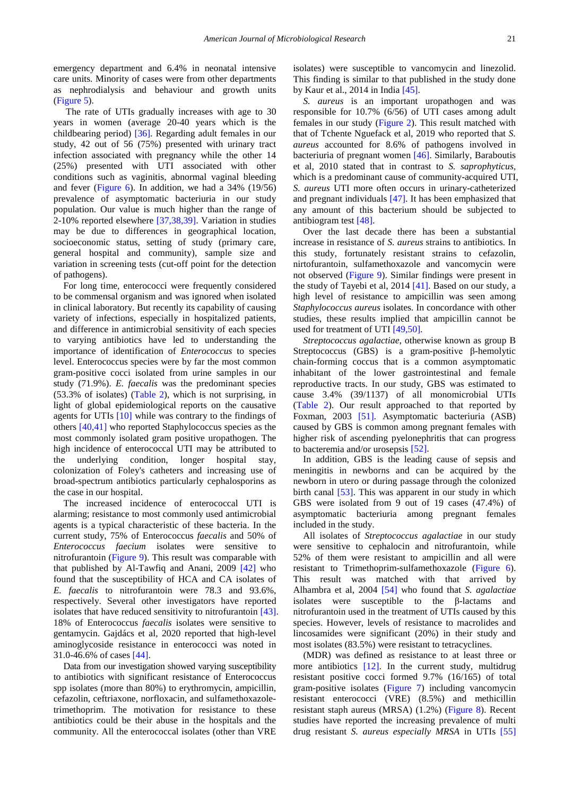emergency department and 6.4% in neonatal intensive care units. Minority of cases were from other departments as nephrodialysis and behaviour and growth units [\(Figure 5\)](#page-4-0).

The rate of UTIs gradually increases with age to 30 years in women (average 20-40 years which is the childbearing period) [\[36\].](#page-9-14) Regarding adult females in our study, 42 out of 56 (75%) presented with urinary tract infection associated with pregnancy while the other 14 (25%) presented with UTI associated with other conditions such as vaginitis, abnormal vaginal bleeding and fever [\(Figure 6\)](#page-4-1). In addition, we had a 34% (19/56) prevalence of asymptomatic bacteriuria in our study population. Our value is much higher than the range of 2-10% reported elsewhere [\[37,38,39\].](#page-9-15) Variation in studies may be due to differences in geographical location, socioeconomic status, setting of study (primary care, general hospital and community), sample size and variation in screening tests (cut-off point for the detection of pathogens).

For long time, enterococci were frequently considered to be commensal organism and was ignored when isolated in clinical laboratory. But recently its capability of causing variety of infections, especially in hospitalized patients, and difference in antimicrobial sensitivity of each species to varying antibiotics have led to understanding the importance of identification of *Enterococcus* to species level. Enterococcus species were by far the most common gram-positive cocci isolated from urine samples in our study (71.9%). *E. faecalis* was the predominant species (53.3% of isolates) [\(Table 2\)](#page-2-2), which is not surprising, in light of global epidemiological reports on the causative agents for UTIs [\[10\]](#page-8-8) while was contrary to the findings of others [\[40,41\]](#page-9-16) who reported Staphylococcus species as the most commonly isolated gram positive uropathogen. The high incidence of enterococcal UTI may be attributed to the underlying condition, longer hospital stay, colonization of Foley's catheters and increasing use of broad-spectrum antibiotics particularly cephalosporins as the case in our hospital.

The increased incidence of enterococcal UTI is alarming; resistance to most commonly used antimicrobial agents is a typical characteristic of these bacteria. In the current study, 75% of Enterococcus *faecalis* and 50% of *Enterococcus faecium* isolates were sensitive to nitrofurantoin [\(Figure 9\)](#page-5-0). This result was comparable with that published by Al-Tawfiq and Anani, 2009 [\[42\]](#page-9-17) who found that the susceptibility of HCA and CA isolates of *E. faecalis* to nitrofurantoin were 78.3 and 93.6%, respectively. Several other investigators have reported isolates that have reduced sensitivity to nitrofurantoin [\[43\].](#page-9-18) 18% of Enterococcus *faecalis* isolates were sensitive to gentamycin. Gajdács et al, 2020 reported that high-level aminoglycoside resistance in enterococci was noted in 31.0-46.6% of cases [\[44\].](#page-9-19)

Data from our investigation showed varying susceptibility to antibiotics with significant resistance of Enterococcus spp isolates (more than 80%) to erythromycin, ampicillin, cefazolin, ceftriaxone, norfloxacin, and sulfamethoxazoletrimethoprim. The motivation for resistance to these antibiotics could be their abuse in the hospitals and the community. All the enterococcal isolates (other than VRE

isolates) were susceptible to vancomycin and linezolid. This finding is similar to that published in the study done by Kaur et al., 2014 in India [\[45\].](#page-9-20)

*S. aureus* is an important uropathogen and was responsible for 10.7% (6/56) of UTI cases among adult females in our study [\(Figure 2\)](#page-3-0). This result matched with that of Tchente Nguefack et al, 2019 who reported that *S. aureus* accounted for 8.6% of pathogens involved in bacteriuria of pregnant women [\[46\].](#page-9-21) Similarly, Baraboutis et al, 2010 stated that in contrast to *S. saprophyticus,* which is a predominant cause of community-acquired UTI, *S. aureus* UTI more often occurs in urinary-catheterized and pregnant individuals [\[47\].](#page-9-22) It has been emphasized that any amount of this bacterium should be subjected to antibiogram test [\[48\].](#page-9-23)

Over the last decade there has been a substantial increase in resistance of *S. aureus* strains to antibiotics. In this study, fortunately resistant strains to cefazolin, nirtofurantoin, sulfamethoxazole and vancomycin were not observed [\(Figure 9\)](#page-5-0). Similar findings were present in the study of Tayebi et al, 2014 [\[41\].](#page-9-24) Based on our study, a high level of resistance to ampicillin was seen among *Staphylococcus aureus* isolates. In concordance with other studies, these results implied that ampicillin cannot be used for treatment of UTI [\[49,50\].](#page-9-25)

*Streptococcus agalactiae*, otherwise known as group B Streptococcus (GBS) is a gram-positive β-hemolytic chain-forming coccus that is a common asymptomatic inhabitant of the lower gastrointestinal and female reproductive tracts. In our study, GBS was estimated to cause 3.4% (39/1137) of all monomicrobial UTIs [\(Table 2\)](#page-2-2). Our result approached to that reported by Foxman, 2003 [\[51\].](#page-9-26) Asymptomatic bacteriuria (ASB) caused by GBS is common among pregnant females with higher risk of ascending pyelonephritis that can progress to bacteremia and/or urosepsis [\[52\].](#page-9-27) 

In addition, GBS is the leading cause of sepsis and meningitis in newborns and can be acquired by the newborn in utero or during passage through the colonized birth canal [\[53\].](#page-9-28) This was apparent in our study in which GBS were isolated from 9 out of 19 cases (47.4%) of asymptomatic bacteriuria among pregnant females included in the study.

All isolates of *Streptococcus agalactiae* in our study were sensitive to cephalocin and nitrofurantoin, while 52% of them were resistant to ampicillin and all were resistant to Trimethoprim-sulfamethoxazole [\(Figure 6\)](#page-4-1). This result was matched with that arrived by Alhambra et al, 2004 [\[54\]](#page-9-29) who found that *S. agalactiae* isolates were susceptible to the β-lactams and nitrofurantoin used in the treatment of UTIs caused by this species. However, levels of resistance to macrolides and lincosamides were significant (20%) in their study and most isolates (83.5%) were resistant to tetracyclines.

(MDR) was defined as resistance to at least three or more antibiotics [\[12\].](#page-8-10) In the current study, multidrug resistant positive cocci formed 9.7% (16/165) of total gram-positive isolates [\(Figure 7\)](#page-4-2) including vancomycin resistant enterococci (VRE) (8.5%) and methicillin resistant staph aureus (MRSA) (1.2%) [\(Figure 8\)](#page-4-3). Recent studies have reported the increasing prevalence of multi drug resistant *S. aureus especially MRSA* in UTIs [\[55\]](#page-9-30)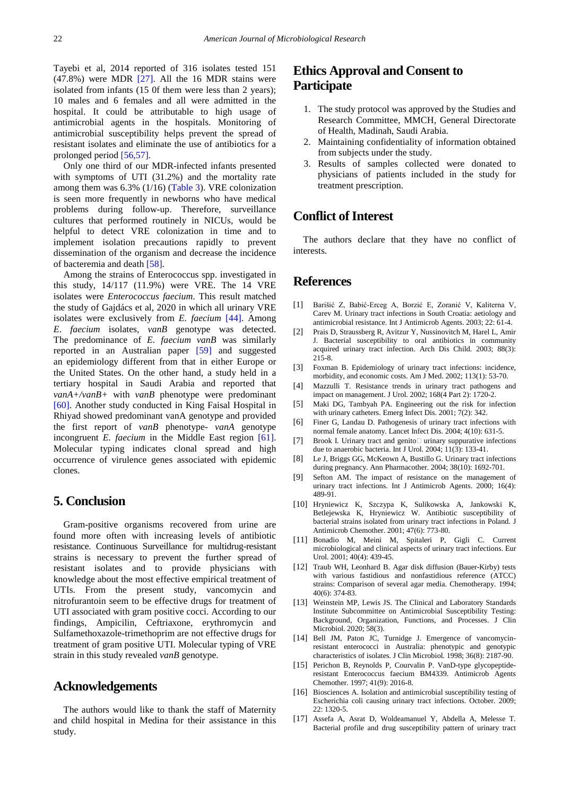Tayebi et al, 2014 reported of 316 isolates tested 151  $(47.8\%)$  were MDR  $[27]$ . All the 16 MDR stains were isolated from infants (15 0f them were less than 2 years); 10 males and 6 females and all were admitted in the hospital. It could be attributable to high usage of antimicrobial agents in the hospitals. Monitoring of antimicrobial susceptibility helps prevent the spread of resistant isolates and eliminate the use of antibiotics for a prolonged period [\[56,57\].](#page-9-31)

Only one third of our MDR-infected infants presented with symptoms of UTI (31.2%) and the mortality rate among them was 6.3% (1/16) [\(Table 3\)](#page-4-4). VRE colonization is seen more frequently in newborns who have medical problems during follow-up. Therefore, surveillance cultures that performed routinely in NICUs, would be helpful to detect VRE colonization in time and to implement isolation precautions rapidly to prevent dissemination of the organism and decrease the incidence of bacteremia and death [\[58\].](#page-9-32)

Among the strains of Enterococcus spp. investigated in this study, 14/117 (11.9%) were VRE. The 14 VRE isolates were *Enterococcus faecium*. This result matched the study of Gajdács et al, 2020 in which all urinary VRE isolates were exclusively from *E. faecium* [\[44\].](#page-9-19) Among *E*. *faecium* isolates, *vanB* genotype was detected. The predominance of *E. faecium vanB* was similarly reported in an Australian paper [\[59\]](#page-9-33) and suggested an epidemiology different from that in either Europe or the United States. On the other hand, a study held in a tertiary hospital in Saudi Arabia and reported that *vanA+/vanB+* with *vanB* phenotype were predominant [\[60\].](#page-9-34) Another study conducted in King Faisal Hospital in Rhiyad showed predominant vanA genotype and provided the first report of *vanB* phenotype- *vanA* genotype incongruent *E. faecium* in the Middle East region [\[61\].](#page-10-0) Molecular typing indicates clonal spread and high occurrence of virulence genes associated with epidemic clones.

### **5. Conclusion**

Gram-positive organisms recovered from urine are found more often with increasing levels of antibiotic resistance. Continuous Surveillance for multidrug-resistant strains is necessary to prevent the further spread of resistant isolates and to provide physicians with knowledge about the most effective empirical treatment of UTIs. From the present study, vancomycin and nitrofurantoin seem to be effective drugs for treatment of UTI associated with gram positive cocci. According to our findings, Ampicilin, Ceftriaxone, erythromycin and Sulfamethoxazole-trimethoprim are not effective drugs for treatment of gram positive UTI. Molecular typing of VRE strain in this study revealed *vanB* genotype.

## **Acknowledgements**

The authors would like to thank the staff of Maternity and child hospital in Medina for their assistance in this study.

# **Ethics Approval and Consent to Participate**

- 1. The study protocol was approved by the Studies and Research Committee, MMCH, General Directorate of Health, Madinah, Saudi Arabia.
- 2. Maintaining confidentiality of information obtained from subjects under the study.
- 3. Results of samples collected were donated to physicians of patients included in the study for treatment prescription.

# **Conflict of Interest**

The authors declare that they have no conflict of interests.

#### **References**

- <span id="page-8-0"></span>[1] Barišić Z, Babić-Erceg A, Borzić E, Zoranić V, Kaliterna V, Carev M. Urinary tract infections in South Croatia: aetiology and antimicrobial resistance. Int J Antimicrob Agents. 2003; 22: 61-4.
- [2] Prais D, Straussberg R, Avitzur Y, Nussinovitch M, Harel L, Amir J. Bacterial susceptibility to oral antibiotics in community acquired urinary tract infection. Arch Dis Child. 2003; 88(3): 215-8.
- <span id="page-8-1"></span>[3] Foxman B. Epidemiology of urinary tract infections: incidence, morbidity, and economic costs. Am J Med. 2002; 113(1): 53-70.
- <span id="page-8-2"></span>[4] Mazzulli T. Resistance trends in urinary tract pathogens and impact on management. J Urol. 2002; 168(4 Part 2): 1720-2.
- <span id="page-8-3"></span>[5] Maki DG, Tambyah PA. Engineering out the risk for infection with urinary catheters. Emerg Infect Dis. 2001; 7(2): 342.
- <span id="page-8-4"></span>[6] Finer G, Landau D. Pathogenesis of urinary tract infections with normal female anatomy. Lancet Infect Dis. 2004; 4(10): 631-5.
- <span id="page-8-5"></span>[7] Brook I. Urinary tract and genito $\Box$  urinary suppurative infections due to anaerobic bacteria. Int J Urol. 2004; 11(3): 133-41.
- <span id="page-8-6"></span>[8] Le J, Briggs GG, McKeown A, Bustillo G. Urinary tract infections during pregnancy. Ann Pharmacother. 2004; 38(10): 1692-701.
- <span id="page-8-7"></span>[9] Sefton AM. The impact of resistance on the management of urinary tract infections. Int J Antimicrob Agents. 2000; 16(4): 489-91.
- <span id="page-8-8"></span>[10] Hryniewicz K, Szczypa K, Sulikowska A, Jankowski K, Betlejewska K, Hryniewicz W. Antibiotic susceptibility of bacterial strains isolated from urinary tract infections in Poland. J Antimicrob Chemother. 2001; 47(6): 773-80.
- <span id="page-8-9"></span>[11] Bonadio M, Meini M, Spitaleri P, Gigli C. Current microbiological and clinical aspects of urinary tract infections. Eur Urol. 2001; 40(4): 439-45.
- <span id="page-8-10"></span>[12] Traub WH, Leonhard B. Agar disk diffusion (Bauer-Kirby) tests with various fastidious and nonfastidious reference (ATCC) strains: Comparison of several agar media. Chemotherapy. 1994; 40(6): 374-83.
- <span id="page-8-11"></span>[13] Weinstein MP, Lewis JS. The Clinical and Laboratory Standards Institute Subcommittee on Antimicrobial Susceptibility Testing: Background, Organization, Functions, and Processes. J Clin Microbiol. 2020; 58(3).
- <span id="page-8-12"></span>[14] Bell JM, Paton JC, Turnidge J. Emergence of vancomycinresistant enterococci in Australia: phenotypic and genotypic characteristics of isolates. J Clin Microbiol. 1998; 36(8): 2187-90.
- <span id="page-8-13"></span>[15] Perichon B, Reynolds P, Courvalin P. VanD-type glycopeptideresistant Enterococcus faecium BM4339. Antimicrob Agents Chemother. 1997; 41(9): 2016-8.
- <span id="page-8-14"></span>[16] Biosciences A. Isolation and antimicrobial susceptibility testing of Escherichia coli causing urinary tract infections. October. 2009; 22: 1320-5.
- <span id="page-8-15"></span>[17] Assefa A, Asrat D, Woldeamanuel Y, Abdella A, Melesse T. Bacterial profile and drug susceptibility pattern of urinary tract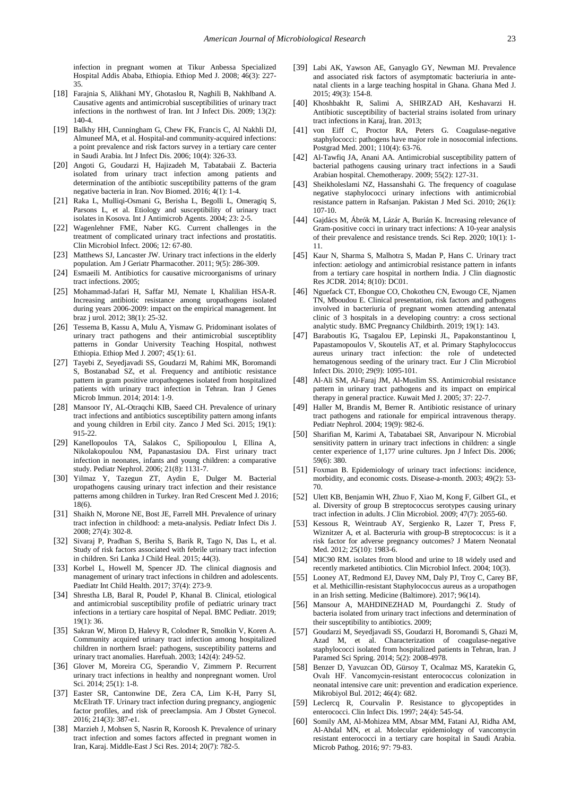infection in pregnant women at Tikur Anbessa Specialized Hospital Addis Ababa, Ethiopia. Ethiop Med J. 2008; 46(3): 227- 35.

- <span id="page-9-0"></span>[18] Farajnia S, Alikhani MY, Ghotaslou R, Naghili B, Nakhlband A. Causative agents and antimicrobial susceptibilities of urinary tract infections in the northwest of Iran. Int J Infect Dis. 2009; 13(2): 140-4.
- <span id="page-9-1"></span>[19] Balkhy HH, Cunningham G, Chew FK, Francis C, Al Nakhli DJ, Almuneef MA, et al. Hospital-and community-acquired infections: a point prevalence and risk factors survey in a tertiary care center in Saudi Arabia. Int J Infect Dis. 2006; 10(4): 326-33.
- <span id="page-9-2"></span>[20] Angoti G, Goudarzi H, Hajizadeh M, Tabatabaii Z. Bacteria isolated from urinary tract infection among patients and determination of the antibiotic susceptibility patterns of the gram negative bacteria in Iran. Nov Biomed. 2016; 4(1): 1-4.
- <span id="page-9-3"></span>[21] Raka L, Mulliqi-Osmani G, Berisha L, Begolli L, Omeragiq S, Parsons L, et al. Etiology and susceptibility of urinary tract isolates in Kosova. Int J Antimicrob Agents. 2004; 23: 2-5.
- <span id="page-9-4"></span>[22] Wagenlehner FME, Naber KG. Current challenges in the treatment of complicated urinary tract infections and prostatitis. Clin Microbiol Infect. 2006; 12: 67-80.
- <span id="page-9-5"></span>[23] Matthews SJ, Lancaster JW. Urinary tract infections in the elderly population. Am J Geriatr Pharmacother. 2011; 9(5): 286-309.
- <span id="page-9-6"></span>[24] Esmaeili M. Antibiotics for causative microorganisms of urinary tract infections. 2005;
- [25] Mohammad-Jafari H, Saffar MJ, Nemate I, Khalilian HSA-R. Increasing antibiotic resistance among uropathogens isolated during years 2006-2009: impact on the empirical management. Int braz j urol. 2012; 38(1): 25-32.
- [26] Tessema B, Kassu A, Mulu A, Yismaw G. Pridominant isolates of urinary tract pathogens and their antimicrobial susceptiblity patterns in Gondar University Teaching Hospital, nothwest Ethiopia. Ethiop Med J. 2007; 45(1): 61.
- <span id="page-9-7"></span>[27] Tayebi Z, Seyedjavadi SS, Goudarzi M, Rahimi MK, Boromandi S, Bostanabad SZ, et al. Frequency and antibiotic resistance pattern in gram positive uropathogenes isolated from hospitalized patients with urinary tract infection in Tehran. Iran J Genes Microb Immun. 2014; 2014: 1-9.
- <span id="page-9-8"></span>[28] Mansoor IY, AL-Otraqchi KIB, Saeed CH. Prevalence of urinary tract infections and antibiotics susceptibility pattern among infants and young children in Erbil city. Zanco J Med Sci. 2015; 19(1): 915-22.
- <span id="page-9-9"></span>[29] Kanellopoulos TA, Salakos C, Spiliopoulou I, Ellina A, Nikolakopoulou NM, Papanastasiou DA. First urinary tract infection in neonates, infants and young children: a comparative study. Pediatr Nephrol. 2006; 21(8): 1131-7.
- <span id="page-9-10"></span>[30] Yilmaz Y, Tazegun ZT, Aydin E, Dulger M. Bacterial uropathogens causing urinary tract infection and their resistance patterns among children in Turkey. Iran Red Crescent Med J. 2016; 18(6).
- <span id="page-9-11"></span>[31] Shaikh N, Morone NE, Bost JE, Farrell MH. Prevalence of urinary tract infection in childhood: a meta-analysis. Pediatr Infect Dis J. 2008; 27(4): 302-8.
- <span id="page-9-12"></span>[32] Sivaraj P, Pradhan S, Beriha S, Barik R, Tago N, Das L, et al. Study of risk factors associated with febrile urinary tract infection in children. Sri Lanka J Child Heal. 2015; 44(3).
- [33] Korbel L, Howell M, Spencer JD. The clinical diagnosis and management of urinary tract infections in children and adolescents. Paediatr Int Child Health. 2017; 37(4): 273-9.
- [34] Shrestha LB, Baral R, Poudel P, Khanal B. Clinical, etiological and antimicrobial susceptibility profile of pediatric urinary tract infections in a tertiary care hospital of Nepal. BMC Pediatr. 2019; 19(1): 36.
- <span id="page-9-13"></span>[35] Sakran W, Miron D, Halevy R, Colodner R, Smolkin V, Koren A. Community acquired urinary tract infection among hospitalized children in northern Israel: pathogens, susceptibility patterns and urinary tract anomalies. Harefuah. 2003; 142(4): 249-52.
- <span id="page-9-14"></span>[36] Glover M, Moreira CG, Sperandio V, Zimmern P. Recurrent urinary tract infections in healthy and nonpregnant women. Urol Sci. 2014; 25(1): 1-8.
- <span id="page-9-15"></span>[37] Easter SR, Cantonwine DE, Zera CA, Lim K-H, Parry SI, McElrath TF. Urinary tract infection during pregnancy, angiogenic factor profiles, and risk of preeclampsia. Am J Obstet Gynecol. 2016; 214(3): 387-e1.
- [38] Marzieh J, Mohsen S, Nasrin R, Koroosh K. Prevalence of urinary tract infection and somes factors affected in pregnant women in Iran, Karaj. Middle-East J Sci Res. 2014; 20(7): 782-5.
- [39] Labi AK, Yawson AE, Ganyaglo GY, Newman MJ. Prevalence and associated risk factors of asymptomatic bacteriuria in antenatal clients in a large teaching hospital in Ghana. Ghana Med J. 2015; 49(3): 154-8.
- <span id="page-9-16"></span>[40] Khoshbakht R, Salimi A, SHIRZAD AH, Keshavarzi H. Antibiotic susceptibility of bacterial strains isolated from urinary tract infections in Karaj, Iran. 2013;
- <span id="page-9-24"></span>[41] von Eiff C, Proctor RA, Peters G. Coagulase-negative staphylococci: pathogens have major role in nosocomial infections. Postgrad Med. 2001; 110(4): 63-76.
- <span id="page-9-17"></span>[42] Al-Tawfiq JA, Anani AA. Antimicrobial susceptibility pattern of bacterial pathogens causing urinary tract infections in a Saudi Arabian hospital. Chemotherapy. 2009; 55(2): 127-31.
- <span id="page-9-18"></span>[43] Sheikholeslami NZ, Hassanshahi G. The frequency of coagulase negative staphylococci urinary infections with antimicrobial resistance pattern in Rafsanjan. Pakistan J Med Sci. 2010; 26(1): 107-10.
- <span id="page-9-19"></span>[44] Gajdács M, Ábrók M, Lázár A, Burián K. Increasing relevance of Gram-positive cocci in urinary tract infections: A 10-year analysis of their prevalence and resistance trends. Sci Rep. 2020; 10(1): 1- 11.
- <span id="page-9-20"></span>[45] Kaur N, Sharma S, Malhotra S, Madan P, Hans C. Urinary tract infection: aetiology and antimicrobial resistance pattern in infants from a tertiary care hospital in northern India. J Clin diagnostic Res JCDR. 2014; 8(10): DC01.
- <span id="page-9-21"></span>[46] Nguefack CT, Ebongue CO, Chokotheu CN, Ewougo CE, Njamen TN, Mboudou E. Clinical presentation, risk factors and pathogens involved in bacteriuria of pregnant women attending antenatal clinic of 3 hospitals in a developing country: a cross sectional analytic study. BMC Pregnancy Childbirth. 2019; 19(1): 143.
- <span id="page-9-22"></span>[47] Baraboutis IG, Tsagalou EP, Lepinski JL, Papakonstantinou I, Papastamopoulos V, Skoutelis AT, et al. Primary Staphylococcus aureus urinary tract infection: the role of undetected hematogenous seeding of the urinary tract. Eur J Clin Microbiol Infect Dis. 2010; 29(9): 1095-101.
- <span id="page-9-23"></span>[48] Al-Ali SM, Al-Faraj JM, Al-Muslim SS. Antimicrobial resistance pattern in urinary tract pathogens and its impact on empirical therapy in general practice. Kuwait Med J. 2005; 37: 22-7.
- <span id="page-9-25"></span>[49] Haller M, Brandis M, Berner R. Antibiotic resistance of urinary tract pathogens and rationale for empirical intravenous therapy. Pediatr Nephrol. 2004; 19(9): 982-6.
- [50] Sharifian M, Karimi A, Tabatabaei SR, Anvaripour N. Microbial sensitivity pattern in urinary tract infections in children: a single center experience of 1,177 urine cultures. Jpn J Infect Dis. 2006: 59(6): 380.
- <span id="page-9-26"></span>[51] Foxman B. Epidemiology of urinary tract infections: incidence, morbidity, and economic costs. Disease-a-month. 2003; 49(2): 53- 70.
- <span id="page-9-27"></span>[52] Ulett KB, Benjamin WH, Zhuo F, Xiao M, Kong F, Gilbert GL, et al. Diversity of group B streptococcus serotypes causing urinary tract infection in adults. J Clin Microbiol. 2009; 47(7): 2055-60.
- <span id="page-9-28"></span>[53] Kessous R, Weintraub AY, Sergienko R, Lazer T, Press F, Wiznitzer A, et al. Bacteruria with group-B streptococcus: is it a risk factor for adverse pregnancy outcomes? J Matern Neonatal Med. 2012; 25(10): 1983-6.
- <span id="page-9-29"></span>[54] MIC90 RM. isolates from blood and urine to 18 widely used and recently marketed antibiotics. Clin Microbiol Infect. 2004; 10(3).
- <span id="page-9-30"></span>[55] Looney AT, Redmond EJ, Davey NM, Daly PJ, Troy C, Carey BF, et al. Methicillin-resistant Staphylococcus aureus as a uropathogen in an Irish setting. Medicine (Baltimore). 2017; 96(14).
- <span id="page-9-31"></span>[56] Mansour A, MAHDINEZHAD M, Pourdangchi Z. Study of bacteria isolated from urinary tract infections and determination of their susceptibility to antibiotics. 2009;
- [57] Goudarzi M, Seyedjavadi SS, Goudarzi H, Boromandi S, Ghazi M, Azad M, et al. Characterization of coagulase-negative staphylococci isolated from hospitalized patients in Tehran, Iran. J Paramed Sci Spring. 2014; 5(2): 2008-4978.
- <span id="page-9-32"></span>[58] Benzer D, Yavuzcan ÖD, Gürsoy T, Ocalmaz MS, Karatekin G, Ovalı HF. Vancomycin-resistant enterococcus colonization in neonatal intensive care unit: prevention and eradication experience. Mikrobiyol Bul. 2012; 46(4): 682.
- <span id="page-9-33"></span>[59] Leclercq R, Courvalin P. Resistance to glycopeptides in enterococci. Clin Infect Dis. 1997; 24(4): 545-54.
- <span id="page-9-34"></span>[60] Somily AM, Al-Mohizea MM, Absar MM, Fatani AJ, Ridha AM, Al-Ahdal MN, et al. Molecular epidemiology of vancomycin resistant enterococci in a tertiary care hospital in Saudi Arabia. Microb Pathog. 2016; 97: 79-83.